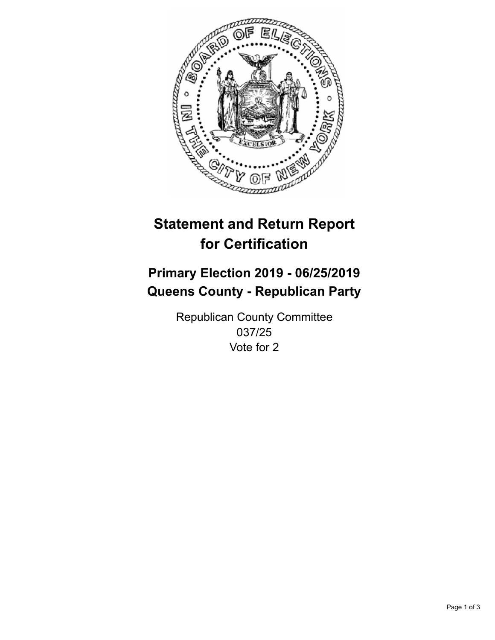

## **Statement and Return Report for Certification**

## **Primary Election 2019 - 06/25/2019 Queens County - Republican Party**

Republican County Committee 037/25 Vote for 2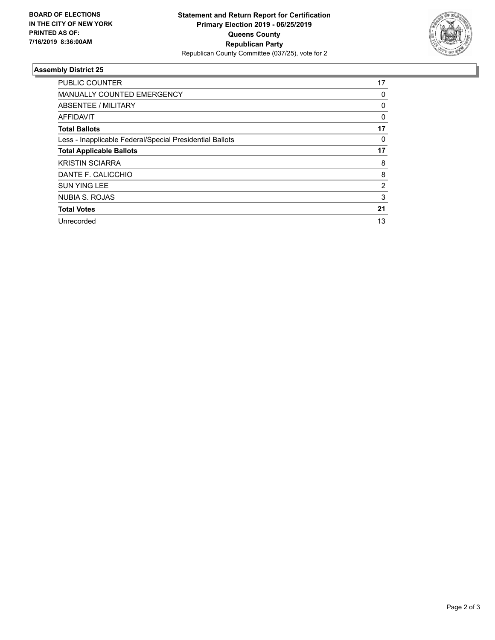

## **Assembly District 25**

| <b>PUBLIC COUNTER</b>                                    | 17       |
|----------------------------------------------------------|----------|
| <b>MANUALLY COUNTED EMERGENCY</b>                        | 0        |
| ABSENTEE / MILITARY                                      | 0        |
| AFFIDAVIT                                                | $\Omega$ |
| <b>Total Ballots</b>                                     | 17       |
| Less - Inapplicable Federal/Special Presidential Ballots | 0        |
| <b>Total Applicable Ballots</b>                          | 17       |
| <b>KRISTIN SCIARRA</b>                                   | 8        |
| DANTE F. CALICCHIO                                       | 8        |
| <b>SUN YING LEE</b>                                      | 2        |
| NUBIA S. ROJAS                                           | 3        |
| <b>Total Votes</b>                                       | 21       |
| Unrecorded                                               | 13       |